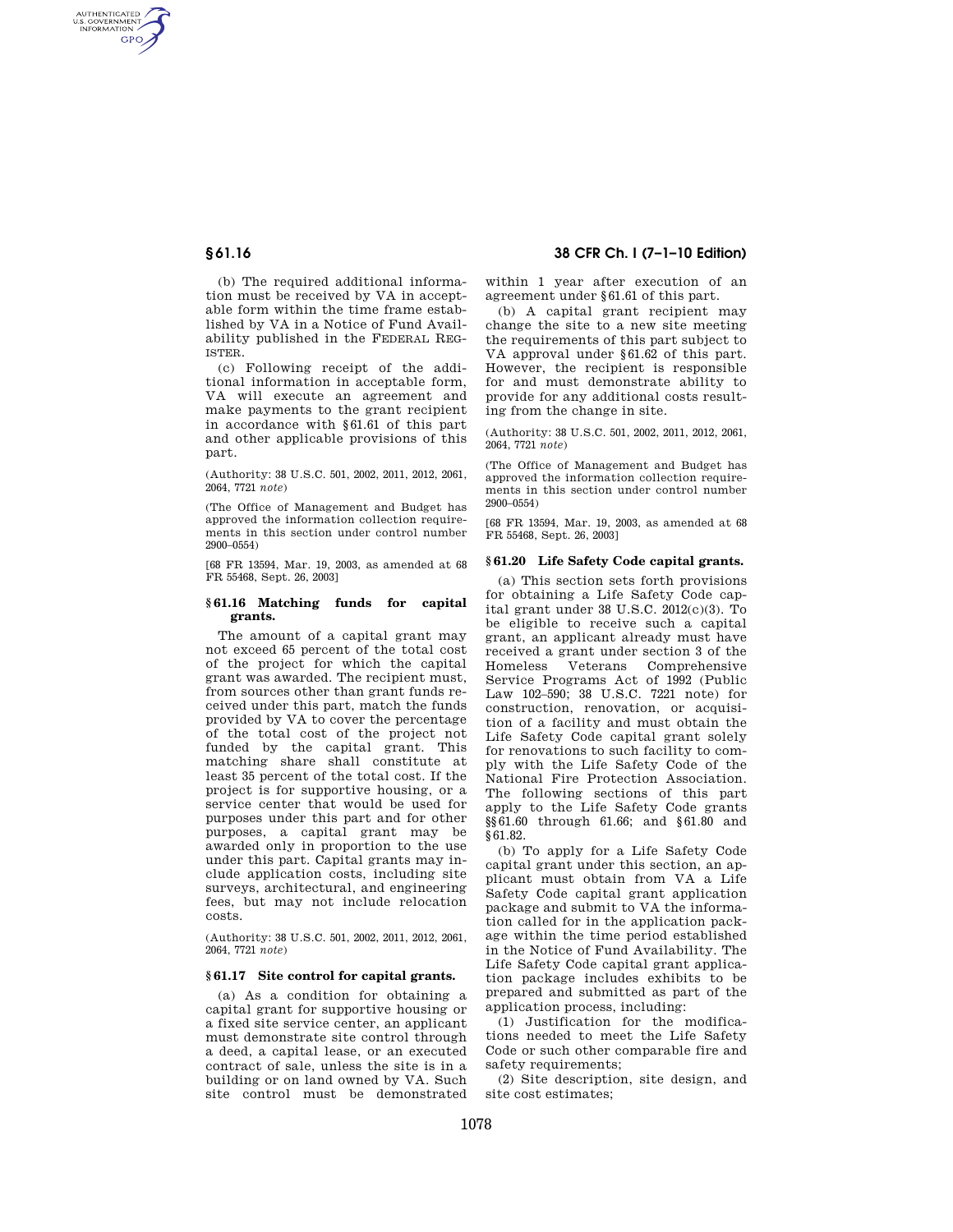AUTHENTICATED<br>U.S. GOVERNMENT<br>INFORMATION **GPO** 

> (b) The required additional information must be received by VA in acceptable form within the time frame established by VA in a Notice of Fund Availability published in the FEDERAL REG-ISTER.

> (c) Following receipt of the additional information in acceptable form, VA will execute an agreement and make payments to the grant recipient in accordance with §61.61 of this part and other applicable provisions of this part.

> (Authority: 38 U.S.C. 501, 2002, 2011, 2012, 2061, 2064, 7721 *note*)

> (The Office of Management and Budget has approved the information collection requirements in this section under control number 2900–0554)

> [68 FR 13594, Mar. 19, 2003, as amended at 68 FR 55468, Sept. 26, 2003]

## **§ 61.16 Matching funds for capital grants.**

The amount of a capital grant may not exceed 65 percent of the total cost of the project for which the capital grant was awarded. The recipient must, from sources other than grant funds received under this part, match the funds provided by VA to cover the percentage of the total cost of the project not funded by the capital grant. This matching share shall constitute at least 35 percent of the total cost. If the project is for supportive housing, or a service center that would be used for purposes under this part and for other purposes, a capital grant may be awarded only in proportion to the use under this part. Capital grants may include application costs, including site surveys, architectural, and engineering fees, but may not include relocation costs.

(Authority: 38 U.S.C. 501, 2002, 2011, 2012, 2061, 2064, 7721 *note*)

### **§ 61.17 Site control for capital grants.**

(a) As a condition for obtaining a capital grant for supportive housing or a fixed site service center, an applicant must demonstrate site control through a deed, a capital lease, or an executed contract of sale, unless the site is in a building or on land owned by VA. Such site control must be demonstrated

# **§ 61.16 38 CFR Ch. I (7–1–10 Edition)**

within 1 year after execution of an agreement under §61.61 of this part.

(b) A capital grant recipient may change the site to a new site meeting the requirements of this part subject to VA approval under §61.62 of this part. However, the recipient is responsible for and must demonstrate ability to provide for any additional costs resulting from the change in site.

(Authority: 38 U.S.C. 501, 2002, 2011, 2012, 2061, 2064, 7721 *note*)

(The Office of Management and Budget has approved the information collection requirements in this section under control number 2900–0554)

[68 FR 13594, Mar. 19, 2003, as amended at 68 FR 55468, Sept. 26, 2003]

## **§ 61.20 Life Safety Code capital grants.**

(a) This section sets forth provisions for obtaining a Life Safety Code capital grant under 38 U.S.C. 2012(c)(3). To be eligible to receive such a capital grant, an applicant already must have received a grant under section 3 of the Veterans Comprehensive Service Programs Act of 1992 (Public Law 102–590; 38 U.S.C. 7221 note) for construction, renovation, or acquisition of a facility and must obtain the Life Safety Code capital grant solely for renovations to such facility to comply with the Life Safety Code of the National Fire Protection Association. The following sections of this part apply to the Life Safety Code grants §§61.60 through 61.66; and §61.80 and §61.82.

(b) To apply for a Life Safety Code capital grant under this section, an applicant must obtain from VA a Life Safety Code capital grant application package and submit to VA the information called for in the application package within the time period established in the Notice of Fund Availability. The Life Safety Code capital grant application package includes exhibits to be prepared and submitted as part of the application process, including:

(1) Justification for the modifications needed to meet the Life Safety Code or such other comparable fire and safety requirements:

(2) Site description, site design, and site cost estimates;